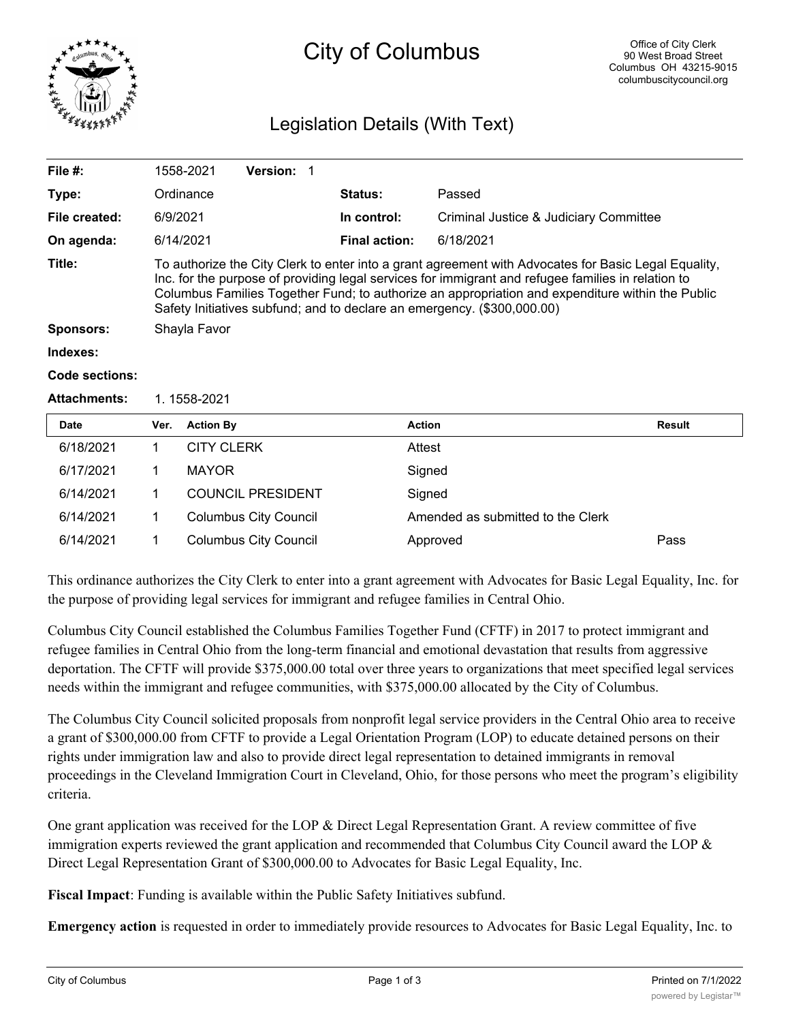

# City of Columbus

## Legislation Details (With Text)

| File $#$ :          |                                                                                                                                                                                                                                                                                                                                                                                           | 1558-2021         | <b>Version: 1</b> |  |                      |                                        |               |  |  |
|---------------------|-------------------------------------------------------------------------------------------------------------------------------------------------------------------------------------------------------------------------------------------------------------------------------------------------------------------------------------------------------------------------------------------|-------------------|-------------------|--|----------------------|----------------------------------------|---------------|--|--|
| Type:               |                                                                                                                                                                                                                                                                                                                                                                                           | Ordinance         |                   |  | <b>Status:</b>       | Passed                                 |               |  |  |
| File created:       |                                                                                                                                                                                                                                                                                                                                                                                           | 6/9/2021          |                   |  | In control:          | Criminal Justice & Judiciary Committee |               |  |  |
| On agenda:          |                                                                                                                                                                                                                                                                                                                                                                                           | 6/14/2021         |                   |  | <b>Final action:</b> | 6/18/2021                              |               |  |  |
| Title:              | To authorize the City Clerk to enter into a grant agreement with Advocates for Basic Legal Equality,<br>Inc. for the purpose of providing legal services for immigrant and refugee families in relation to<br>Columbus Families Together Fund; to authorize an appropriation and expenditure within the Public<br>Safety Initiatives subfund; and to declare an emergency. (\$300,000.00) |                   |                   |  |                      |                                        |               |  |  |
| <b>Sponsors:</b>    | Shayla Favor                                                                                                                                                                                                                                                                                                                                                                              |                   |                   |  |                      |                                        |               |  |  |
| Indexes:            |                                                                                                                                                                                                                                                                                                                                                                                           |                   |                   |  |                      |                                        |               |  |  |
| Code sections:      |                                                                                                                                                                                                                                                                                                                                                                                           |                   |                   |  |                      |                                        |               |  |  |
| <b>Attachments:</b> | 1.1558-2021                                                                                                                                                                                                                                                                                                                                                                               |                   |                   |  |                      |                                        |               |  |  |
| Date                | Ver.                                                                                                                                                                                                                                                                                                                                                                                      | <b>Action By</b>  |                   |  | <b>Action</b>        |                                        | <b>Result</b> |  |  |
| 6/18/2021           |                                                                                                                                                                                                                                                                                                                                                                                           | <b>CITY CLERK</b> |                   |  | Attest               |                                        |               |  |  |
| 6/17/2021           |                                                                                                                                                                                                                                                                                                                                                                                           | <b>MAYOR</b>      |                   |  |                      | Sianed                                 |               |  |  |

| 6/14/2021 | <b>COUNCIL PRESIDENT</b> | Signed                            |      |
|-----------|--------------------------|-----------------------------------|------|
| 6/14/2021 | Columbus City Council    | Amended as submitted to the Clerk |      |
| 6/14/2021 | Columbus City Council    | Approved                          | Pass |

This ordinance authorizes the City Clerk to enter into a grant agreement with Advocates for Basic Legal Equality, Inc. for the purpose of providing legal services for immigrant and refugee families in Central Ohio.

Columbus City Council established the Columbus Families Together Fund (CFTF) in 2017 to protect immigrant and refugee families in Central Ohio from the long-term financial and emotional devastation that results from aggressive deportation. The CFTF will provide \$375,000.00 total over three years to organizations that meet specified legal services needs within the immigrant and refugee communities, with \$375,000.00 allocated by the City of Columbus.

The Columbus City Council solicited proposals from nonprofit legal service providers in the Central Ohio area to receive a grant of \$300,000.00 from CFTF to provide a Legal Orientation Program (LOP) to educate detained persons on their rights under immigration law and also to provide direct legal representation to detained immigrants in removal proceedings in the Cleveland Immigration Court in Cleveland, Ohio, for those persons who meet the program's eligibility criteria.

One grant application was received for the LOP & Direct Legal Representation Grant. A review committee of five immigration experts reviewed the grant application and recommended that Columbus City Council award the LOP & Direct Legal Representation Grant of \$300,000.00 to Advocates for Basic Legal Equality, Inc.

**Fiscal Impact**: Funding is available within the Public Safety Initiatives subfund.

**Emergency action** is requested in order to immediately provide resources to Advocates for Basic Legal Equality, Inc. to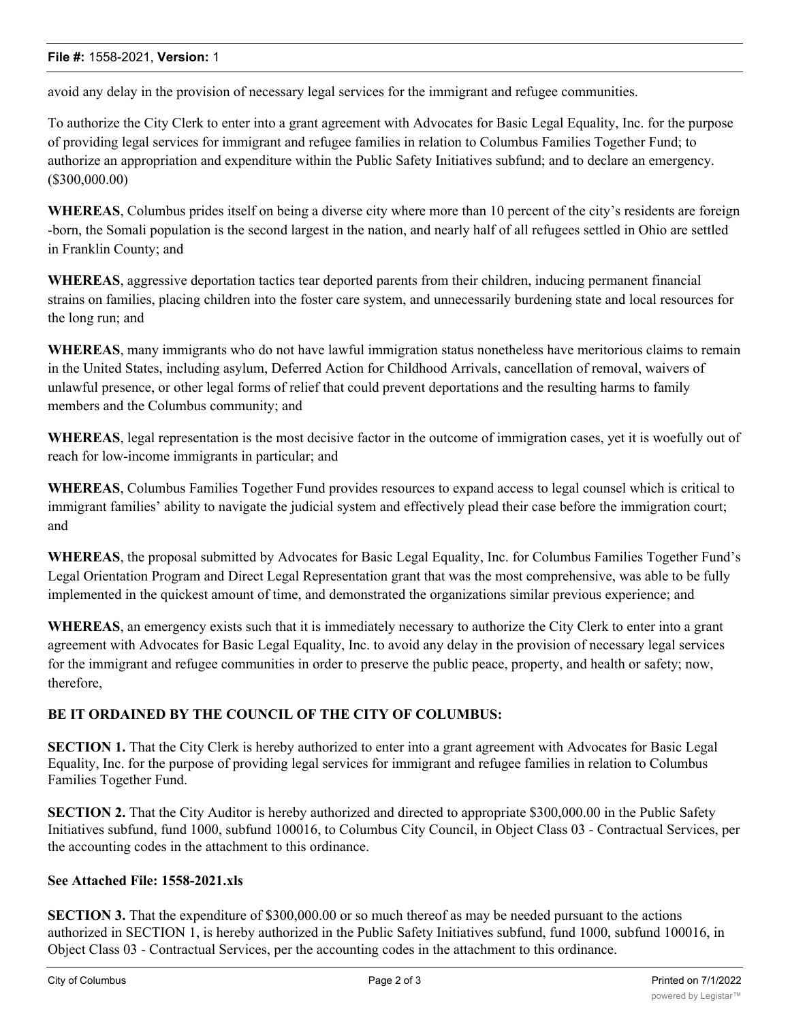avoid any delay in the provision of necessary legal services for the immigrant and refugee communities.

To authorize the City Clerk to enter into a grant agreement with Advocates for Basic Legal Equality, Inc. for the purpose of providing legal services for immigrant and refugee families in relation to Columbus Families Together Fund; to authorize an appropriation and expenditure within the Public Safety Initiatives subfund; and to declare an emergency. (\$300,000.00)

**WHEREAS**, Columbus prides itself on being a diverse city where more than 10 percent of the city's residents are foreign -born, the Somali population is the second largest in the nation, and nearly half of all refugees settled in Ohio are settled in Franklin County; and

**WHEREAS**, aggressive deportation tactics tear deported parents from their children, inducing permanent financial strains on families, placing children into the foster care system, and unnecessarily burdening state and local resources for the long run; and

**WHEREAS**, many immigrants who do not have lawful immigration status nonetheless have meritorious claims to remain in the United States, including asylum, Deferred Action for Childhood Arrivals, cancellation of removal, waivers of unlawful presence, or other legal forms of relief that could prevent deportations and the resulting harms to family members and the Columbus community; and

**WHEREAS**, legal representation is the most decisive factor in the outcome of immigration cases, yet it is woefully out of reach for low-income immigrants in particular; and

**WHEREAS**, Columbus Families Together Fund provides resources to expand access to legal counsel which is critical to immigrant families' ability to navigate the judicial system and effectively plead their case before the immigration court; and

**WHEREAS**, the proposal submitted by Advocates for Basic Legal Equality, Inc. for Columbus Families Together Fund's Legal Orientation Program and Direct Legal Representation grant that was the most comprehensive, was able to be fully implemented in the quickest amount of time, and demonstrated the organizations similar previous experience; and

**WHEREAS**, an emergency exists such that it is immediately necessary to authorize the City Clerk to enter into a grant agreement with Advocates for Basic Legal Equality, Inc. to avoid any delay in the provision of necessary legal services for the immigrant and refugee communities in order to preserve the public peace, property, and health or safety; now, therefore,

### **BE IT ORDAINED BY THE COUNCIL OF THE CITY OF COLUMBUS:**

**SECTION 1.** That the City Clerk is hereby authorized to enter into a grant agreement with Advocates for Basic Legal Equality, Inc. for the purpose of providing legal services for immigrant and refugee families in relation to Columbus Families Together Fund.

**SECTION 2.** That the City Auditor is hereby authorized and directed to appropriate \$300,000.00 in the Public Safety Initiatives subfund, fund 1000, subfund 100016, to Columbus City Council, in Object Class 03 - Contractual Services, per the accounting codes in the attachment to this ordinance.

### **See Attached File: 1558-2021.xls**

**SECTION 3.** That the expenditure of \$300,000.00 or so much thereof as may be needed pursuant to the actions authorized in SECTION 1, is hereby authorized in the Public Safety Initiatives subfund, fund 1000, subfund 100016, in Object Class 03 - Contractual Services, per the accounting codes in the attachment to this ordinance.